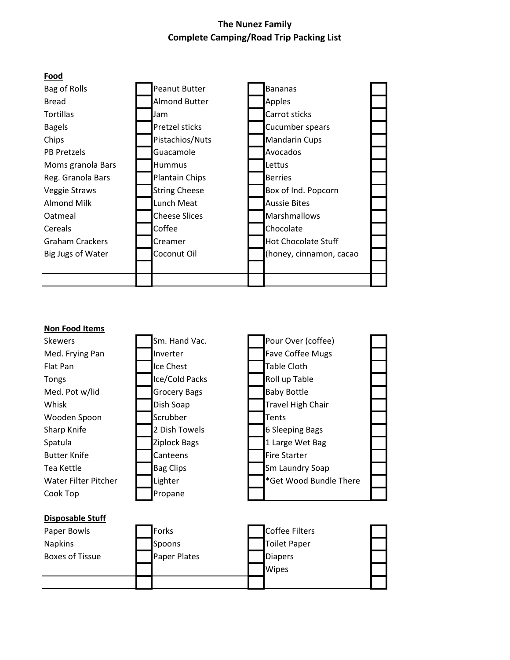## **The Nunez Family Complete Camping/Road Trip Packing List**



| <b>Non Food Items</b>   |                     |                          |
|-------------------------|---------------------|--------------------------|
| <b>Skewers</b>          | Sm. Hand Vac.       | Pour Over (coffee)       |
| Med. Frying Pan         | Inverter            | <b>Fave Coffee Mugs</b>  |
| Flat Pan                | Ice Chest           | Table Cloth              |
| <b>Tongs</b>            | Ice/Cold Packs      | Roll up Table            |
| Med. Pot w/lid          | <b>Grocery Bags</b> | <b>Baby Bottle</b>       |
| Whisk                   | Dish Soap           | <b>Travel High Chair</b> |
| Wooden Spoon            | Scrubber            | Tents                    |
| Sharp Knife             | 2 Dish Towels       | <b>6 Sleeping Bags</b>   |
| Spatula                 | Ziplock Bags        | 1 Large Wet Bag          |
| <b>Butter Knife</b>     | Canteens            | <b>Fire Starter</b>      |
| Tea Kettle              | <b>Bag Clips</b>    | Sm Laundry Soap          |
| Water Filter Pitcher    | Lighter             | *Get Wood Bundle There   |
| Cook Top                | Propane             |                          |
|                         |                     |                          |
| <b>Disposable Stuff</b> |                     |                          |
| Paper Bowls             | Forks               | Coffee Filters           |
| $N = 1.5$               |                     | エンジント ロールフル              |

| Paper Bowls     | Forks               | <b>Coffee Filters</b> |  |
|-----------------|---------------------|-----------------------|--|
| <b>Napkins</b>  | Spoons              | Toilet Paper          |  |
| Boxes of Tissue | <b>Paper Plates</b> | <b>Diapers</b>        |  |
|                 |                     | <b>Wipes</b>          |  |
|                 |                     |                       |  |